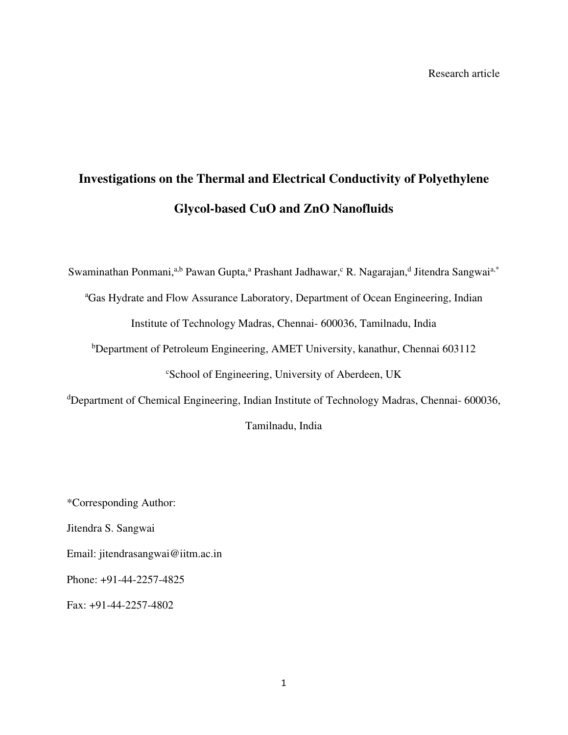# **Investigations on the Thermal and Electrical Conductivity of Polyethylene Glycol-based CuO and ZnO Nanofluids**

Swaminathan Ponmani,<sup>a,b</sup> Pawan Gupta,<sup>a</sup> Prashant Jadhawar,<sup>c</sup> R. Nagarajan,<sup>d</sup> Jitendra Sangwai<sup>a,\*</sup>

<sup>a</sup>Gas Hydrate and Flow Assurance Laboratory, Department of Ocean Engineering, Indian Institute of Technology Madras, Chennai- 600036, Tamilnadu, India

<sup>b</sup>Department of Petroleum Engineering, AMET University, kanathur, Chennai 603112 <sup>c</sup>School of Engineering, University of Aberdeen, UK

<sup>d</sup>Department of Chemical Engineering, Indian Institute of Technology Madras, Chennai- 600036,

Tamilnadu, India

\*Corresponding Author: Jitendra S. Sangwai Email: jitendrasangwai@iitm.ac.in Phone: +91-44-2257-4825 Fax: +91-44-2257-4802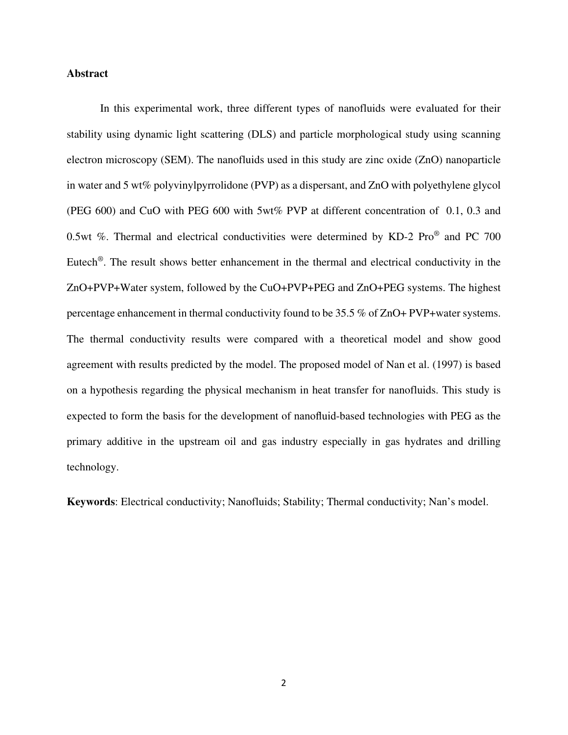#### **Abstract**

In this experimental work, three different types of nanofluids were evaluated for their stability using dynamic light scattering (DLS) and particle morphological study using scanning electron microscopy (SEM). The nanofluids used in this study are zinc oxide (ZnO) nanoparticle in water and 5 wt% polyvinylpyrrolidone (PVP) as a dispersant, and ZnO with polyethylene glycol (PEG 600) and CuO with PEG 600 with 5wt% PVP at different concentration of 0.1, 0.3 and 0.5wt %. Thermal and electrical conductivities were determined by KD-2 Pro® and PC 700 Eutech<sup>®</sup>. The result shows better enhancement in the thermal and electrical conductivity in the ZnO+PVP+Water system, followed by the CuO+PVP+PEG and ZnO+PEG systems. The highest percentage enhancement in thermal conductivity found to be 35.5 % of ZnO+ PVP+water systems. The thermal conductivity results were compared with a theoretical model and show good agreement with results predicted by the model. The proposed model of Nan et al. (1997) is based on a hypothesis regarding the physical mechanism in heat transfer for nanofluids. This study is expected to form the basis for the development of nanofluid-based technologies with PEG as the primary additive in the upstream oil and gas industry especially in gas hydrates and drilling technology.

**Keywords**: Electrical conductivity; Nanofluids; Stability; Thermal conductivity; Nan's model.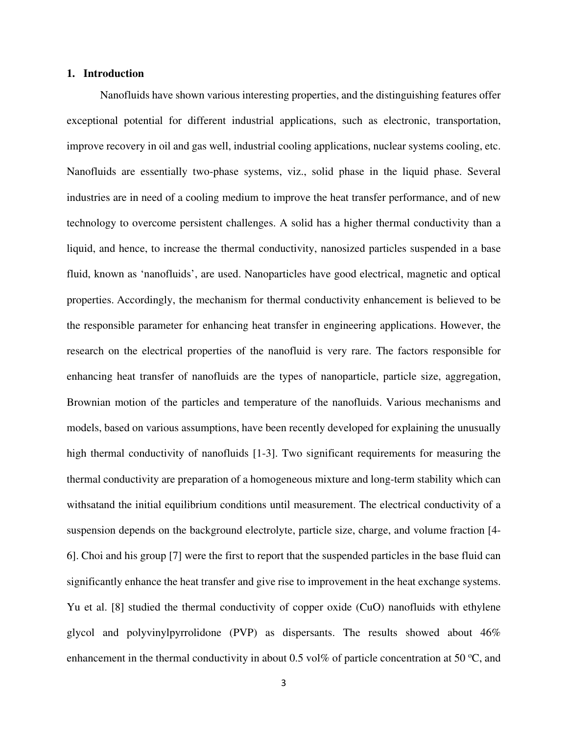#### **1. Introduction**

Nanofluids have shown various interesting properties, and the distinguishing features offer exceptional potential for different industrial applications, such as electronic, transportation, improve recovery in oil and gas well, industrial cooling applications, nuclear systems cooling, etc. Nanofluids are essentially two-phase systems, viz., solid phase in the liquid phase. Several industries are in need of a cooling medium to improve the heat transfer performance, and of new technology to overcome persistent challenges. A solid has a higher thermal conductivity than a liquid, and hence, to increase the thermal conductivity, nanosized particles suspended in a base fluid, known as 'nanofluids', are used. Nanoparticles have good electrical, magnetic and optical properties. Accordingly, the mechanism for thermal conductivity enhancement is believed to be the responsible parameter for enhancing heat transfer in engineering applications. However, the research on the electrical properties of the nanofluid is very rare. The factors responsible for enhancing heat transfer of nanofluids are the types of nanoparticle, particle size, aggregation, Brownian motion of the particles and temperature of the nanofluids. Various mechanisms and models, based on various assumptions, have been recently developed for explaining the unusually high thermal conductivity of nanofluids [1-3]. Two significant requirements for measuring the thermal conductivity are preparation of a homogeneous mixture and long-term stability which can withsatand the initial equilibrium conditions until measurement. The electrical conductivity of a suspension depends on the background electrolyte, particle size, charge, and volume fraction [4- 6]. Choi and his group [7] were the first to report that the suspended particles in the base fluid can significantly enhance the heat transfer and give rise to improvement in the heat exchange systems. Yu et al. [8] studied the thermal conductivity of copper oxide (CuO) nanofluids with ethylene glycol and polyvinylpyrrolidone (PVP) as dispersants. The results showed about 46% enhancement in the thermal conductivity in about 0.5 vol% of particle concentration at 50  $^{\circ}C$ , and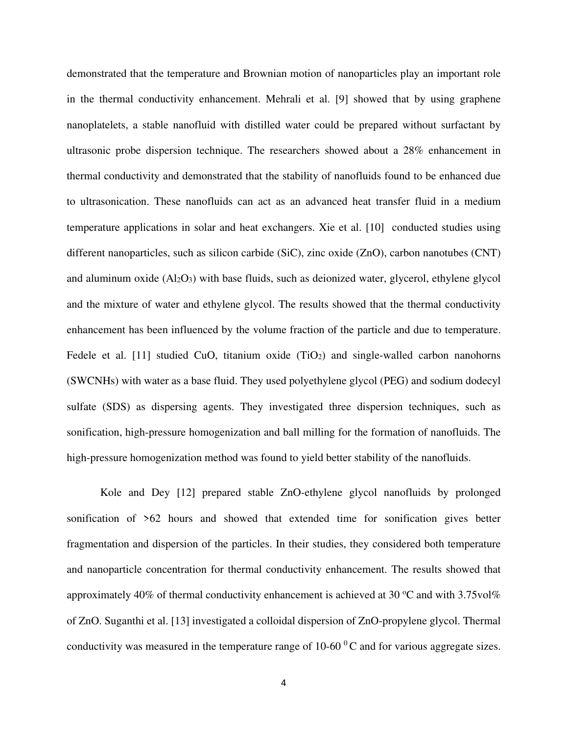demonstrated that the temperature and Brownian motion of nanoparticles play an important role in the thermal conductivity enhancement. Mehrali et al. [9] showed that by using graphene nanoplatelets, a stable nanofluid with distilled water could be prepared without surfactant by ultrasonic probe dispersion technique. The researchers showed about a 28% enhancement in thermal conductivity and demonstrated that the stability of nanofluids found to be enhanced due to ultrasonication. These nanofluids can act as an advanced heat transfer fluid in a medium temperature applications in solar and heat exchangers. Xie et al. [10] conducted studies using different nanoparticles, such as silicon carbide (SiC), zinc oxide (ZnO), carbon nanotubes (CNT) and aluminum oxide  $(Al_2O_3)$  with base fluids, such as deionized water, glycerol, ethylene glycol and the mixture of water and ethylene glycol. The results showed that the thermal conductivity enhancement has been influenced by the volume fraction of the particle and due to temperature. Fedele et al.  $[11]$  studied CuO, titanium oxide  $(TiO<sub>2</sub>)$  and single-walled carbon nanohorns (SWCNHs) with water as a base fluid. They used polyethylene glycol (PEG) and sodium dodecyl sulfate (SDS) as dispersing agents. They investigated three dispersion techniques, such as sonification, high-pressure homogenization and ball milling for the formation of nanofluids. The high-pressure homogenization method was found to yield better stability of the nanofluids.

Kole and Dey [12] prepared stable ZnO-ethylene glycol nanofluids by prolonged sonification of >62 hours and showed that extended time for sonification gives better fragmentation and dispersion of the particles. In their studies, they considered both temperature and nanoparticle concentration for thermal conductivity enhancement. The results showed that approximately 40% of thermal conductivity enhancement is achieved at 30  $^{\circ}$ C and with 3.75vol% of ZnO. Suganthi et al. [13] investigated a colloidal dispersion of ZnO-propylene glycol. Thermal conductivity was measured in the temperature range of  $10{\text{-}}60^{\degree}$ C and for various aggregate sizes.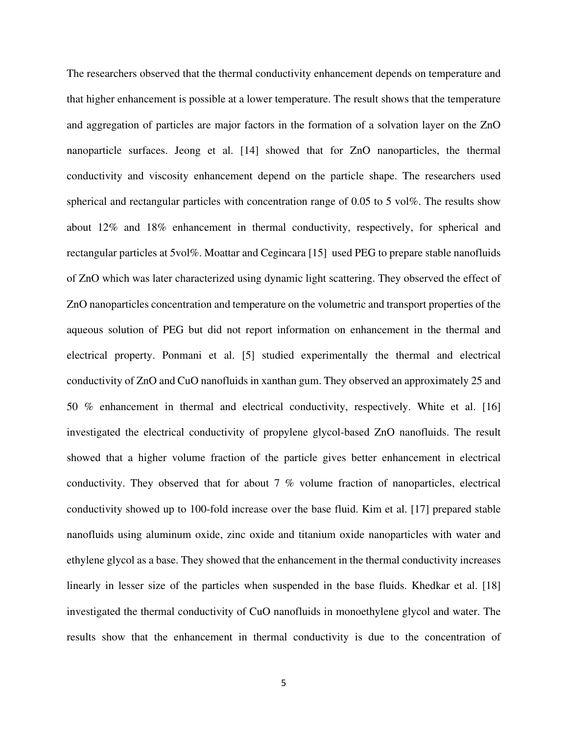The researchers observed that the thermal conductivity enhancement depends on temperature and that higher enhancement is possible at a lower temperature. The result shows that the temperature and aggregation of particles are major factors in the formation of a solvation layer on the ZnO nanoparticle surfaces. Jeong et al. [14] showed that for ZnO nanoparticles, the thermal conductivity and viscosity enhancement depend on the particle shape. The researchers used spherical and rectangular particles with concentration range of 0.05 to 5 vol%. The results show about 12% and 18% enhancement in thermal conductivity, respectively, for spherical and rectangular particles at 5vol%. Moattar and Cegincara [15] used PEG to prepare stable nanofluids of ZnO which was later characterized using dynamic light scattering. They observed the effect of ZnO nanoparticles concentration and temperature on the volumetric and transport properties of the aqueous solution of PEG but did not report information on enhancement in the thermal and electrical property. Ponmani et al. [5] studied experimentally the thermal and electrical conductivity of ZnO and CuO nanofluids in xanthan gum. They observed an approximately 25 and 50 % enhancement in thermal and electrical conductivity, respectively. White et al. [16] investigated the electrical conductivity of propylene glycol-based ZnO nanofluids. The result showed that a higher volume fraction of the particle gives better enhancement in electrical conductivity. They observed that for about 7 % volume fraction of nanoparticles, electrical conductivity showed up to 100-fold increase over the base fluid. Kim et al. [17] prepared stable nanofluids using aluminum oxide, zinc oxide and titanium oxide nanoparticles with water and ethylene glycol as a base. They showed that the enhancement in the thermal conductivity increases linearly in lesser size of the particles when suspended in the base fluids. Khedkar et al. [18] investigated the thermal conductivity of CuO nanofluids in monoethylene glycol and water. The results show that the enhancement in thermal conductivity is due to the concentration of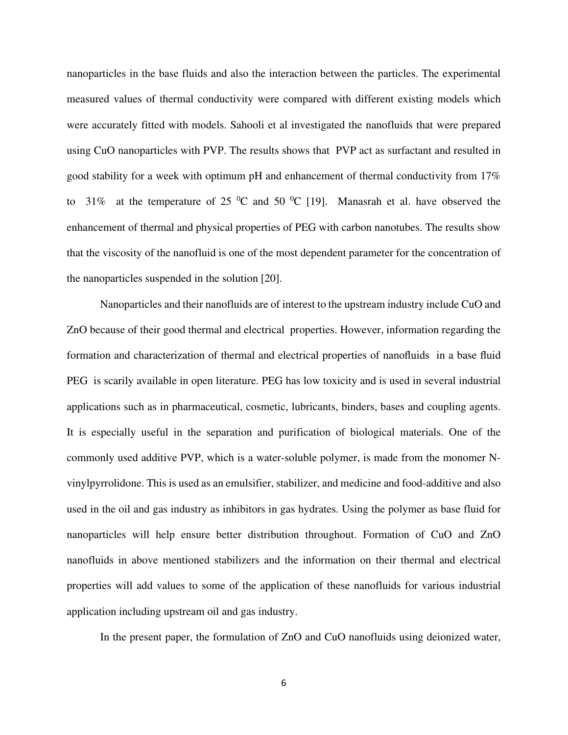nanoparticles in the base fluids and also the interaction between the particles. The experimental measured values of thermal conductivity were compared with different existing models which were accurately fitted with models. Sahooli et al investigated the nanofluids that were prepared using CuO nanoparticles with PVP. The results shows that PVP act as surfactant and resulted in good stability for a week with optimum pH and enhancement of thermal conductivity from 17% to 31% at the temperature of 25  $\rm{^0C}$  and 50  $\rm{^0C}$  [19]. Manasrah et al. have observed the enhancement of thermal and physical properties of PEG with carbon nanotubes. The results show that the viscosity of the nanofluid is one of the most dependent parameter for the concentration of the nanoparticles suspended in the solution [20].

Nanoparticles and their nanofluids are of interest to the upstream industry include CuO and ZnO because of their good thermal and electrical properties. However, information regarding the formation and characterization of thermal and electrical properties of nanofluids in a base fluid PEG is scarily available in open literature. PEG has low toxicity and is used in several industrial applications such as in pharmaceutical, cosmetic, lubricants, binders, bases and coupling agents. It is especially useful in the separation and purification of biological materials. One of the commonly used additive PVP, which is a water-soluble polymer, is made from the monomer Nvinylpyrrolidone. This is used as an emulsifier, stabilizer, and medicine and food-additive and also used in the oil and gas industry as inhibitors in gas hydrates. Using the polymer as base fluid for nanoparticles will help ensure better distribution throughout. Formation of CuO and ZnO nanofluids in above mentioned stabilizers and the information on their thermal and electrical properties will add values to some of the application of these nanofluids for various industrial application including upstream oil and gas industry.

In the present paper, the formulation of ZnO and CuO nanofluids using deionized water,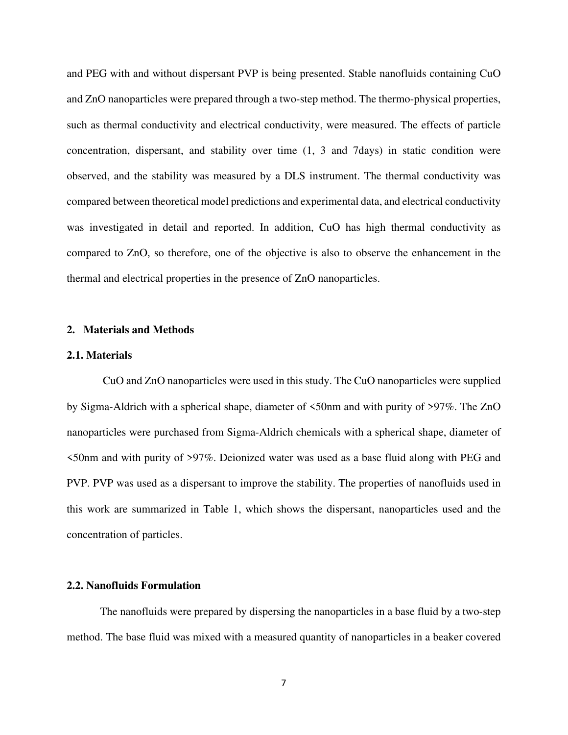and PEG with and without dispersant PVP is being presented. Stable nanofluids containing CuO and ZnO nanoparticles were prepared through a two-step method. The thermo-physical properties, such as thermal conductivity and electrical conductivity, were measured. The effects of particle concentration, dispersant, and stability over time (1, 3 and 7days) in static condition were observed, and the stability was measured by a DLS instrument. The thermal conductivity was compared between theoretical model predictions and experimental data, and electrical conductivity was investigated in detail and reported. In addition, CuO has high thermal conductivity as compared to ZnO, so therefore, one of the objective is also to observe the enhancement in the thermal and electrical properties in the presence of ZnO nanoparticles.

#### **2. Materials and Methods**

#### **2.1. Materials**

CuO and ZnO nanoparticles were used in this study. The CuO nanoparticles were supplied by Sigma-Aldrich with a spherical shape, diameter of <50nm and with purity of >97%. The ZnO nanoparticles were purchased from Sigma-Aldrich chemicals with a spherical shape, diameter of <50nm and with purity of >97%. Deionized water was used as a base fluid along with PEG and PVP. PVP was used as a dispersant to improve the stability. The properties of nanofluids used in this work are summarized in Table 1, which shows the dispersant, nanoparticles used and the concentration of particles.

#### **2.2. Nanofluids Formulation**

The nanofluids were prepared by dispersing the nanoparticles in a base fluid by a two-step method. The base fluid was mixed with a measured quantity of nanoparticles in a beaker covered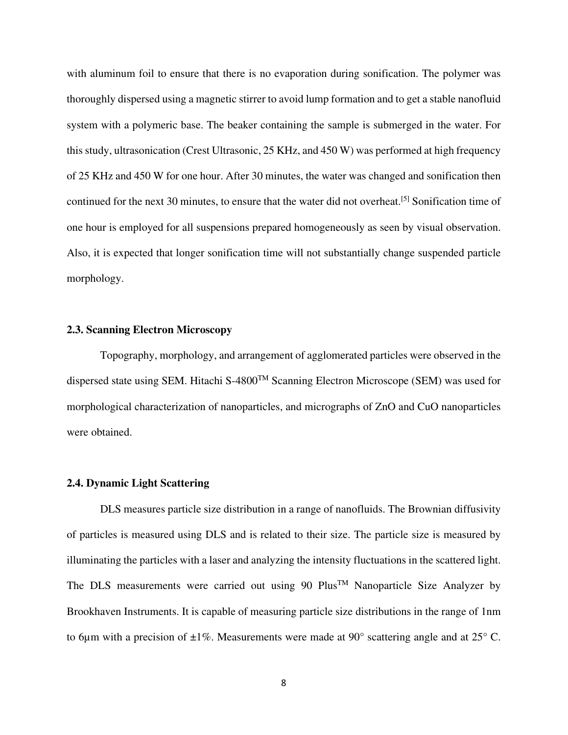with aluminum foil to ensure that there is no evaporation during sonification. The polymer was thoroughly dispersed using a magnetic stirrer to avoid lump formation and to get a stable nanofluid system with a polymeric base. The beaker containing the sample is submerged in the water. For this study, ultrasonication (Crest Ultrasonic, 25 KHz, and 450 W) was performed at high frequency of 25 KHz and 450 W for one hour. After 30 minutes, the water was changed and sonification then continued for the next 30 minutes, to ensure that the water did not overheat. [5] Sonification time of one hour is employed for all suspensions prepared homogeneously as seen by visual observation. Also, it is expected that longer sonification time will not substantially change suspended particle morphology.

#### **2.3. Scanning Electron Microscopy**

Topography, morphology, and arrangement of agglomerated particles were observed in the dispersed state using SEM. Hitachi S-4800TM Scanning Electron Microscope (SEM) was used for morphological characterization of nanoparticles, and micrographs of ZnO and CuO nanoparticles were obtained.

#### **2.4. Dynamic Light Scattering**

DLS measures particle size distribution in a range of nanofluids. The Brownian diffusivity of particles is measured using DLS and is related to their size. The particle size is measured by illuminating the particles with a laser and analyzing the intensity fluctuations in the scattered light. The DLS measurements were carried out using 90  $Plus^{TM}$  Nanoparticle Size Analyzer by Brookhaven Instruments. It is capable of measuring particle size distributions in the range of 1nm to 6µm with a precision of  $\pm 1\%$ . Measurements were made at 90 $^{\circ}$  scattering angle and at 25 $^{\circ}$  C.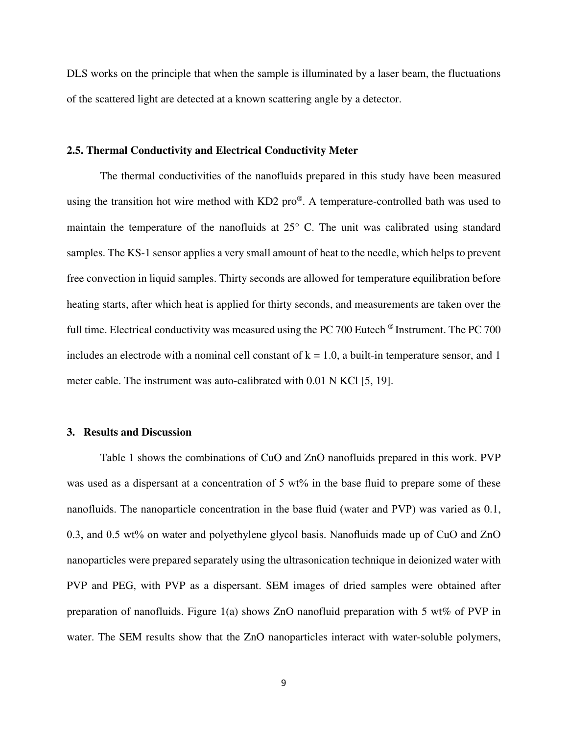DLS works on the principle that when the sample is illuminated by a laser beam, the fluctuations of the scattered light are detected at a known scattering angle by a detector.

#### **2.5. Thermal Conductivity and Electrical Conductivity Meter**

The thermal conductivities of the nanofluids prepared in this study have been measured using the transition hot wire method with KD2 pro<sup>®</sup>. A temperature-controlled bath was used to maintain the temperature of the nanofluids at 25° C. The unit was calibrated using standard samples. The KS-1 sensor applies a very small amount of heat to the needle, which helps to prevent free convection in liquid samples. Thirty seconds are allowed for temperature equilibration before heating starts, after which heat is applied for thirty seconds, and measurements are taken over the full time. Electrical conductivity was measured using the PC 700 Eutech ® Instrument. The PC 700 includes an electrode with a nominal cell constant of  $k = 1.0$ , a built-in temperature sensor, and 1 meter cable. The instrument was auto-calibrated with 0.01 N KCl [5, 19].

#### **3. Results and Discussion**

Table 1 shows the combinations of CuO and ZnO nanofluids prepared in this work. PVP was used as a dispersant at a concentration of 5 wt% in the base fluid to prepare some of these nanofluids. The nanoparticle concentration in the base fluid (water and PVP) was varied as 0.1, 0.3, and 0.5 wt% on water and polyethylene glycol basis. Nanofluids made up of CuO and ZnO nanoparticles were prepared separately using the ultrasonication technique in deionized water with PVP and PEG, with PVP as a dispersant. SEM images of dried samples were obtained after preparation of nanofluids. Figure 1(a) shows ZnO nanofluid preparation with 5 wt% of PVP in water. The SEM results show that the ZnO nanoparticles interact with water-soluble polymers,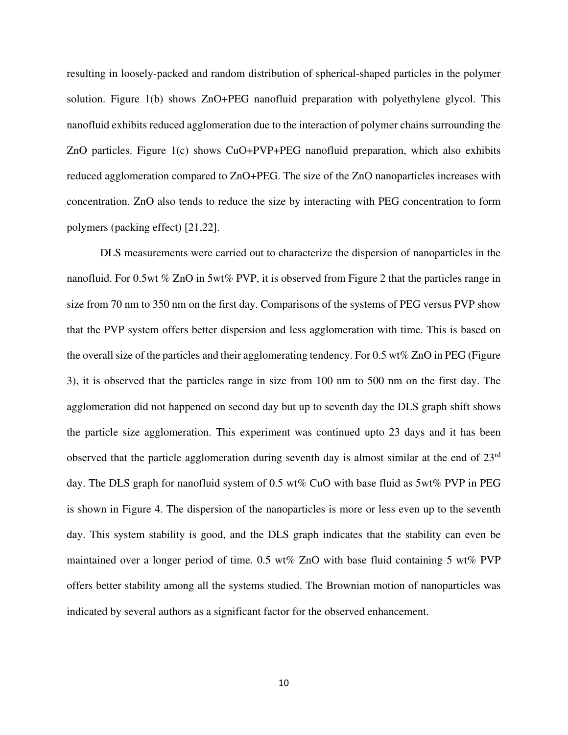resulting in loosely-packed and random distribution of spherical-shaped particles in the polymer solution. Figure 1(b) shows ZnO+PEG nanofluid preparation with polyethylene glycol. This nanofluid exhibits reduced agglomeration due to the interaction of polymer chains surrounding the ZnO particles. Figure 1(c) shows CuO+PVP+PEG nanofluid preparation, which also exhibits reduced agglomeration compared to ZnO+PEG. The size of the ZnO nanoparticles increases with concentration. ZnO also tends to reduce the size by interacting with PEG concentration to form polymers (packing effect) [21,22].

DLS measurements were carried out to characterize the dispersion of nanoparticles in the nanofluid. For 0.5wt % ZnO in 5wt% PVP, it is observed from Figure 2 that the particles range in size from 70 nm to 350 nm on the first day. Comparisons of the systems of PEG versus PVP show that the PVP system offers better dispersion and less agglomeration with time. This is based on the overall size of the particles and their agglomerating tendency. For 0.5 wt% ZnO in PEG (Figure 3), it is observed that the particles range in size from 100 nm to 500 nm on the first day. The agglomeration did not happened on second day but up to seventh day the DLS graph shift shows the particle size agglomeration. This experiment was continued upto 23 days and it has been observed that the particle agglomeration during seventh day is almost similar at the end of 23rd day. The DLS graph for nanofluid system of 0.5 wt% CuO with base fluid as 5wt% PVP in PEG is shown in Figure 4. The dispersion of the nanoparticles is more or less even up to the seventh day. This system stability is good, and the DLS graph indicates that the stability can even be maintained over a longer period of time. 0.5 wt% ZnO with base fluid containing 5 wt% PVP offers better stability among all the systems studied. The Brownian motion of nanoparticles was indicated by several authors as a significant factor for the observed enhancement.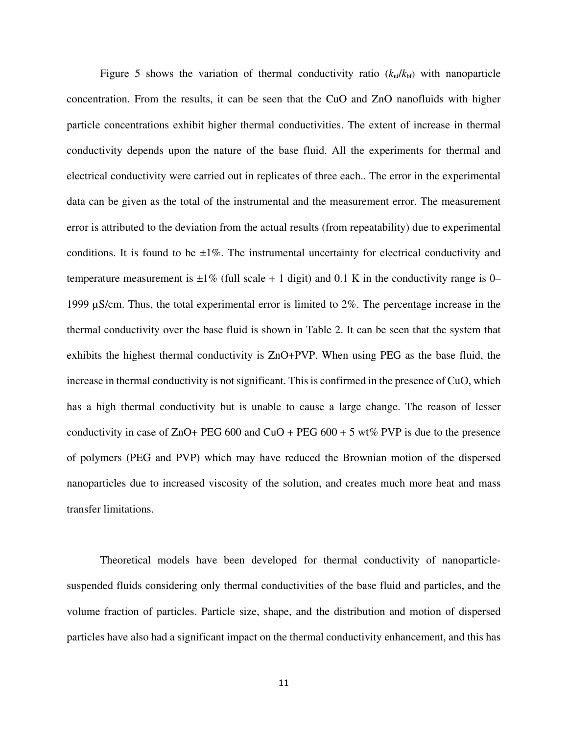Figure 5 shows the variation of thermal conductivity ratio  $(k_{nf}/k_{bf})$  with nanoparticle concentration. From the results, it can be seen that the CuO and ZnO nanofluids with higher particle concentrations exhibit higher thermal conductivities. The extent of increase in thermal conductivity depends upon the nature of the base fluid. All the experiments for thermal and electrical conductivity were carried out in replicates of three each.. The error in the experimental data can be given as the total of the instrumental and the measurement error. The measurement error is attributed to the deviation from the actual results (from repeatability) due to experimental conditions. It is found to be  $\pm 1\%$ . The instrumental uncertainty for electrical conductivity and temperature measurement is  $\pm 1\%$  (full scale + 1 digit) and 0.1 K in the conductivity range is 0– 1999 µS/cm. Thus, the total experimental error is limited to 2%. The percentage increase in the thermal conductivity over the base fluid is shown in Table 2. It can be seen that the system that exhibits the highest thermal conductivity is ZnO+PVP. When using PEG as the base fluid, the increase in thermal conductivity is not significant. This is confirmed in the presence of CuO, which has a high thermal conductivity but is unable to cause a large change. The reason of lesser conductivity in case of ZnO+ PEG 600 and CuO + PEG 600 + 5 wt% PVP is due to the presence of polymers (PEG and PVP) which may have reduced the Brownian motion of the dispersed nanoparticles due to increased viscosity of the solution, and creates much more heat and mass transfer limitations.

Theoretical models have been developed for thermal conductivity of nanoparticlesuspended fluids considering only thermal conductivities of the base fluid and particles, and the volume fraction of particles. Particle size, shape, and the distribution and motion of dispersed particles have also had a significant impact on the thermal conductivity enhancement, and this has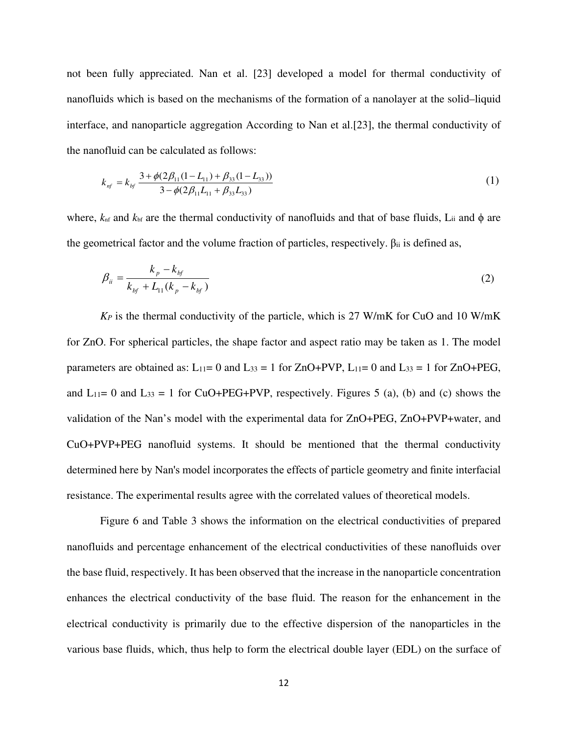not been fully appreciated. Nan et al. [23] developed a model for thermal conductivity of nanofluids which is based on the mechanisms of the formation of a nanolayer at the solid–liquid interface, and nanoparticle aggregation According to Nan et al.[23], the thermal conductivity of the nanofluid can be calculated as follows:

$$
k_{nf} = k_{bf} \frac{3 + \phi(2\beta_{11}(1 - L_{11}) + \beta_{33}(1 - L_{33}))}{3 - \phi(2\beta_{11}L_{11} + \beta_{33}L_{33})}
$$
(1)

where,  $k<sub>nf</sub>$  and  $k<sub>bf</sub>$  are the thermal conductivity of nanofluids and that of base fluids, L<sub>ii</sub> and  $\phi$  are the geometrical factor and the volume fraction of particles, respectively.  $\beta_{ii}$  is defined as,

$$
\beta_{ii} = \frac{k_p - k_{bf}}{k_{bf} + L_{11}(k_p - k_{bf})}
$$
\n(2)

*K<sup>P</sup>* is the thermal conductivity of the particle, which is 27 W/mK for CuO and 10 W/mK for ZnO. For spherical particles, the shape factor and aspect ratio may be taken as 1. The model parameters are obtained as:  $L_{11}= 0$  and  $L_{33} = 1$  for  $ZnO+PVP$ ,  $L_{11}= 0$  and  $L_{33} = 1$  for  $ZnO+PEG$ , and  $L_{11}= 0$  and  $L_{33} = 1$  for CuO+PEG+PVP, respectively. Figures 5 (a), (b) and (c) shows the validation of the Nan's model with the experimental data for ZnO+PEG, ZnO+PVP+water, and CuO+PVP+PEG nanofluid systems. It should be mentioned that the thermal conductivity determined here by Nan's model incorporates the effects of particle geometry and finite interfacial resistance. The experimental results agree with the correlated values of theoretical models.

Figure 6 and Table 3 shows the information on the electrical conductivities of prepared nanofluids and percentage enhancement of the electrical conductivities of these nanofluids over the base fluid, respectively. It has been observed that the increase in the nanoparticle concentration enhances the electrical conductivity of the base fluid. The reason for the enhancement in the electrical conductivity is primarily due to the effective dispersion of the nanoparticles in the various base fluids, which, thus help to form the electrical double layer (EDL) on the surface of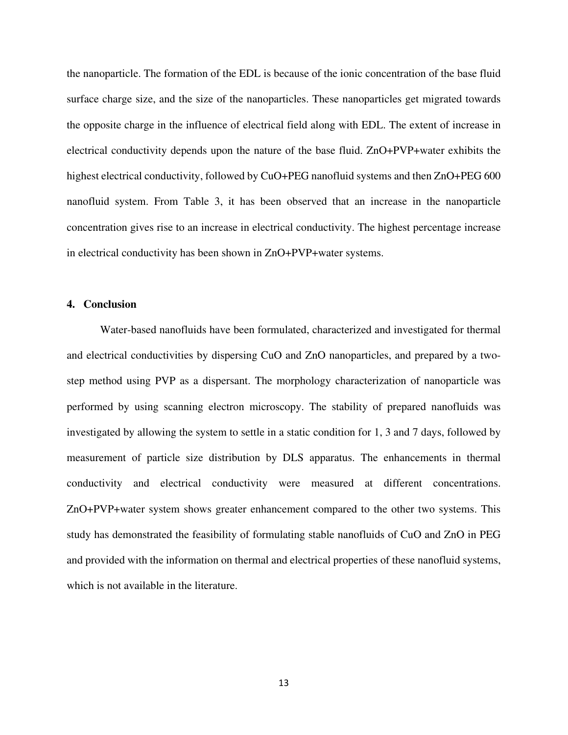the nanoparticle. The formation of the EDL is because of the ionic concentration of the base fluid surface charge size, and the size of the nanoparticles. These nanoparticles get migrated towards the opposite charge in the influence of electrical field along with EDL. The extent of increase in electrical conductivity depends upon the nature of the base fluid. ZnO+PVP+water exhibits the highest electrical conductivity, followed by CuO+PEG nanofluid systems and then ZnO+PEG 600 nanofluid system. From Table 3, it has been observed that an increase in the nanoparticle concentration gives rise to an increase in electrical conductivity. The highest percentage increase in electrical conductivity has been shown in ZnO+PVP+water systems.

#### **4. Conclusion**

Water-based nanofluids have been formulated, characterized and investigated for thermal and electrical conductivities by dispersing CuO and ZnO nanoparticles, and prepared by a twostep method using PVP as a dispersant. The morphology characterization of nanoparticle was performed by using scanning electron microscopy. The stability of prepared nanofluids was investigated by allowing the system to settle in a static condition for 1, 3 and 7 days, followed by measurement of particle size distribution by DLS apparatus. The enhancements in thermal conductivity and electrical conductivity were measured at different concentrations. ZnO+PVP+water system shows greater enhancement compared to the other two systems. This study has demonstrated the feasibility of formulating stable nanofluids of CuO and ZnO in PEG and provided with the information on thermal and electrical properties of these nanofluid systems, which is not available in the literature.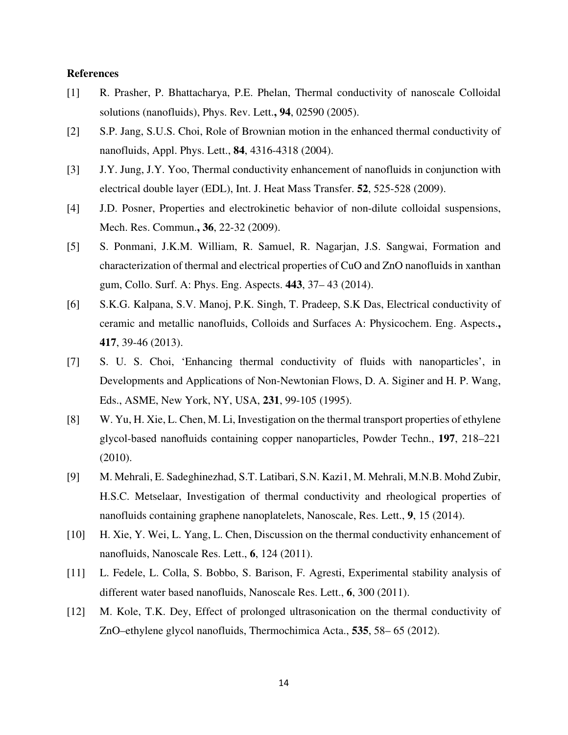#### **References**

- [1] R. Prasher, P. Bhattacharya, P.E. Phelan, Thermal conductivity of nanoscale Colloidal solutions (nanofluids), Phys. Rev. Lett.**, 94**, 02590 (2005).
- [2] S.P. Jang, S.U.S. Choi, Role of Brownian motion in the enhanced thermal conductivity of nanofluids, Appl. Phys. Lett., **84**, 4316-4318 (2004).
- [3] J.Y. Jung, J.Y. Yoo, Thermal conductivity enhancement of nanofluids in conjunction with electrical double layer (EDL), Int. J. Heat Mass Transfer. **52**, 525-528 (2009).
- [4] J.D. Posner, Properties and electrokinetic behavior of non-dilute colloidal suspensions, Mech. Res. Commun.**, 36**, 22-32 (2009).
- [5] S. Ponmani, J.K.M. William, R. Samuel, R. Nagarjan, J.S. Sangwai, Formation and characterization of thermal and electrical properties of CuO and ZnO nanofluids in xanthan gum, Collo. Surf. A: Phys. Eng. Aspects. **443**, 37– 43 (2014).
- [6] S.K.G. Kalpana, S.V. Manoj, P.K. Singh, T. Pradeep, S.K Das, Electrical conductivity of ceramic and metallic nanofluids, Colloids and Surfaces A: Physicochem. Eng. Aspects.**, 417**, 39-46 (2013).
- [7] S. U. S. Choi, 'Enhancing thermal conductivity of fluids with nanoparticles', in Developments and Applications of Non-Newtonian Flows, D. A. Siginer and H. P. Wang, Eds., ASME, New York, NY, USA, **231**, 99-105 (1995).
- [8] W. Yu, H. Xie, L. Chen, M. Li, Investigation on the thermal transport properties of ethylene glycol-based nanofluids containing copper nanoparticles, Powder Techn., **197**, 218–221 (2010).
- [9] M. Mehrali, E. Sadeghinezhad, S.T. Latibari, S.N. Kazi1, M. Mehrali, M.N.B. Mohd Zubir, H.S.C. Metselaar, Investigation of thermal conductivity and rheological properties of nanofluids containing graphene nanoplatelets, Nanoscale, Res. Lett., **9**, 15 (2014).
- [10] H. Xie, Y. Wei, L. Yang, L. Chen, Discussion on the thermal conductivity enhancement of nanofluids, Nanoscale Res. Lett., **6**, 124 (2011).
- [11] L. Fedele, L. Colla, S. Bobbo, S. Barison, F. Agresti, Experimental stability analysis of different water based nanofluids, Nanoscale Res. Lett., **6**, 300 (2011).
- [12] M. Kole, T.K. Dey, Effect of prolonged ultrasonication on the thermal conductivity of ZnO–ethylene glycol nanofluids, Thermochimica Acta., **535**, 58– 65 (2012).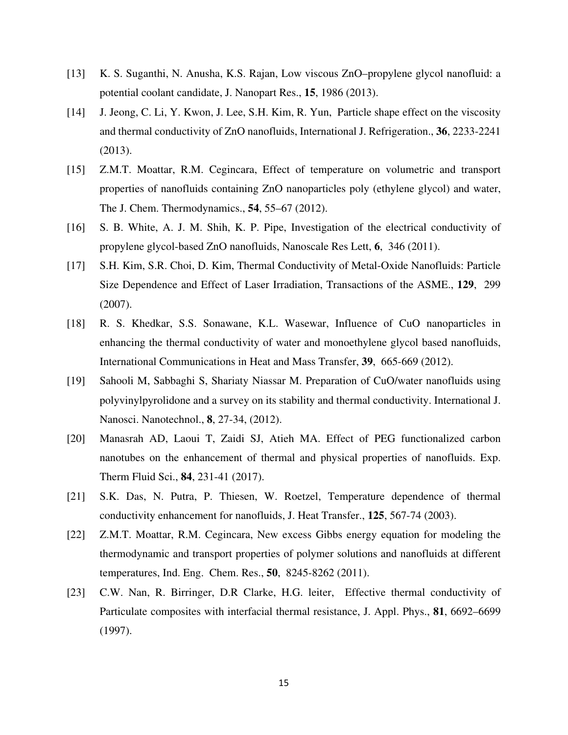- [13] K. S. Suganthi, N. Anusha, K.S. Rajan, Low viscous ZnO–propylene glycol nanofluid: a potential coolant candidate, J. Nanopart Res., **15**, 1986 (2013).
- [14] J. Jeong, C. Li, Y. Kwon, J. Lee, S.H. Kim, R. Yun, Particle shape effect on the viscosity and thermal conductivity of ZnO nanofluids, International J. Refrigeration., **36**, 2233-2241 (2013).
- [15] Z.M.T. Moattar, R.M. Cegincara, Effect of temperature on volumetric and transport properties of nanofluids containing ZnO nanoparticles poly (ethylene glycol) and water, The J. Chem. Thermodynamics., **54**, 55–67 (2012).
- [16] S. B. White, A. J. M. Shih, K. P. Pipe, Investigation of the electrical conductivity of propylene glycol-based ZnO nanofluids, Nanoscale Res Lett, **6**, 346 (2011).
- [17] S.H. Kim, S.R. Choi, D. Kim, Thermal Conductivity of Metal-Oxide Nanofluids: Particle Size Dependence and Effect of Laser Irradiation, Transactions of the ASME., **129**, 299 (2007).
- [18] R. S. Khedkar, S.S. Sonawane, K.L. Wasewar, Influence of CuO nanoparticles in enhancing the thermal conductivity of water and monoethylene glycol based nanofluids, International Communications in Heat and Mass Transfer, **39**, 665-669 (2012).
- [19] Sahooli M, Sabbaghi S, Shariaty Niassar M. Preparation of CuO/water nanofluids using polyvinylpyrolidone and a survey on its stability and thermal conductivity. International J. Nanosci. Nanotechnol., **8**, 27-34, (2012).
- [20] Manasrah AD, Laoui T, Zaidi SJ, Atieh MA. Effect of PEG functionalized carbon nanotubes on the enhancement of thermal and physical properties of nanofluids. Exp. Therm Fluid Sci., **84**, 231-41 (2017).
- [21] S.K. Das, N. Putra, P. Thiesen, W. Roetzel, Temperature dependence of thermal conductivity enhancement for nanofluids, J. Heat Transfer., **125**, 567-74 (2003).
- [22] Z.M.T. Moattar, R.M. Cegincara, New excess Gibbs energy equation for modeling the thermodynamic and transport properties of polymer solutions and nanofluids at different temperatures, Ind. Eng. Chem. Res., **50**, 8245-8262 (2011).
- [23] C.W. Nan, R. Birringer, D.R Clarke, H.G. leiter, Effective thermal conductivity of Particulate composites with interfacial thermal resistance, J. Appl. Phys., **81**, 6692–6699 (1997).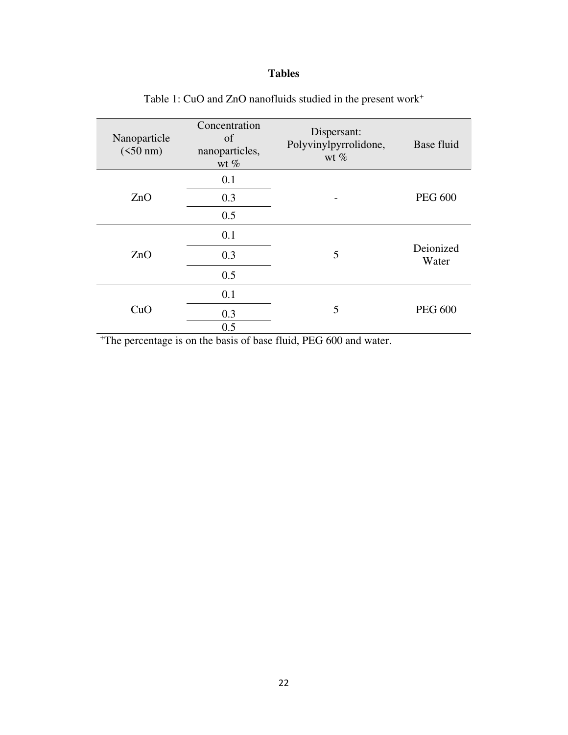### **Tables**

| Nanoparticle<br>$(<50 \text{ nm})$ | Concentration<br>of<br>nanoparticles,<br>wt $%$ | Dispersant:<br>Polyvinylpyrrolidone,<br>wt $%$ | Base fluid         |  |
|------------------------------------|-------------------------------------------------|------------------------------------------------|--------------------|--|
| ZnO                                | 0.1                                             |                                                | <b>PEG 600</b>     |  |
|                                    | 0.3                                             |                                                |                    |  |
|                                    | 0.5                                             |                                                |                    |  |
| ZnO                                | 0.1                                             |                                                | Deionized<br>Water |  |
|                                    | 0.3                                             | 5                                              |                    |  |
|                                    | 0.5                                             |                                                |                    |  |
| CuO                                | 0.1                                             |                                                | <b>PEG 600</b>     |  |
|                                    | 0.3                                             | 5                                              |                    |  |
|                                    | 0.5                                             |                                                |                    |  |

Table 1: CuO and ZnO nanofluids studied in the present work<sup>+</sup>

<sup>+</sup>The percentage is on the basis of base fluid, PEG 600 and water.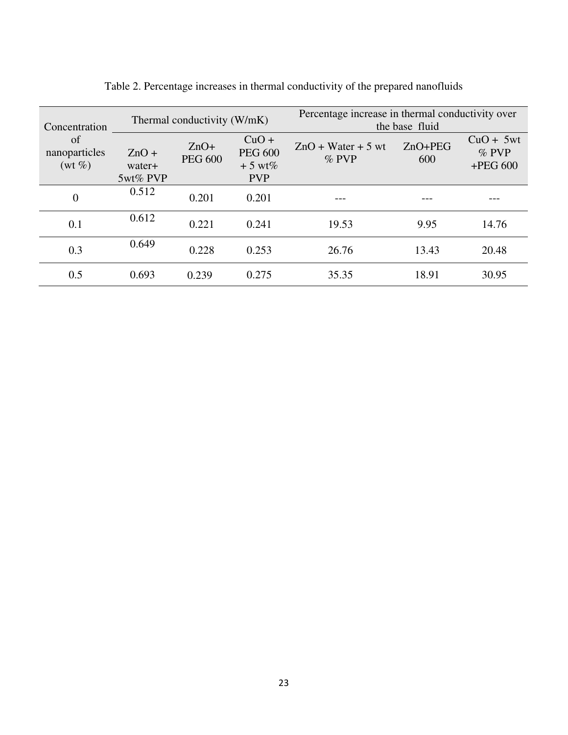| Concentration<br>of<br>nanoparticles<br>$(wt\%)$ | Thermal conductivity (W/mK)   |                          |                                                     | Percentage increase in thermal conductivity over<br>the base fluid |                  |                                      |  |
|--------------------------------------------------|-------------------------------|--------------------------|-----------------------------------------------------|--------------------------------------------------------------------|------------------|--------------------------------------|--|
|                                                  | $ZnO +$<br>water+<br>5wt% PVP | $ZnO+$<br><b>PEG 600</b> | $CuO +$<br><b>PEG 600</b><br>$+5$ wt%<br><b>PVP</b> | $ZnO + Water + 5$ wt<br>$\%$ PVP                                   | $ZnO+PEG$<br>600 | $CuO + 5wt$<br>$%$ PVP<br>$+PEG 600$ |  |
| $\overline{0}$                                   | 0.512                         | 0.201                    | 0.201                                               |                                                                    |                  |                                      |  |
| 0.1                                              | 0.612                         | 0.221                    | 0.241                                               | 19.53                                                              | 9.95             | 14.76                                |  |
| 0.3                                              | 0.649                         | 0.228                    | 0.253                                               | 26.76                                                              | 13.43            | 20.48                                |  |
| 0.5                                              | 0.693                         | 0.239                    | 0.275                                               | 35.35                                                              | 18.91            | 30.95                                |  |

Table 2. Percentage increases in thermal conductivity of the prepared nanofluids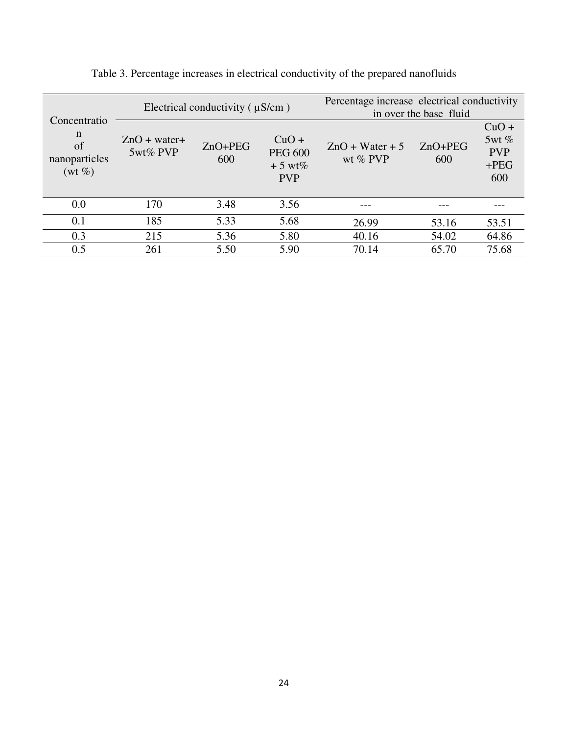|                                                                | Electrical conductivity $( \mu S/cm)$ |                  |                                                     | Percentage increase electrical conductivity<br>in over the base fluid |                  |                                                 |
|----------------------------------------------------------------|---------------------------------------|------------------|-----------------------------------------------------|-----------------------------------------------------------------------|------------------|-------------------------------------------------|
| Concentratio<br>$\mathbf n$<br>of<br>nanoparticles<br>$(wt\%)$ | $ZnO + water+$<br>5wt% PVP            | $ZnO+PEG$<br>600 | $CuO +$<br><b>PEG 600</b><br>$+5$ wt%<br><b>PVP</b> | $ZnO + Water + 5$<br>wt $\%$ PVP                                      | $ZnO+PEG$<br>600 | $CuO +$<br>5wt%<br><b>PVP</b><br>$+$ PEG<br>600 |
| 0.0                                                            | 170                                   | 3.48             | 3.56                                                |                                                                       |                  |                                                 |
| 0.1                                                            | 185                                   | 5.33             | 5.68                                                | 26.99                                                                 | 53.16            | 53.51                                           |
| 0.3                                                            | 215                                   | 5.36             | 5.80                                                | 40.16                                                                 | 54.02            | 64.86                                           |
| 0.5                                                            | 261                                   | 5.50             | 5.90                                                | 70.14                                                                 | 65.70            | 75.68                                           |

Table 3. Percentage increases in electrical conductivity of the prepared nanofluids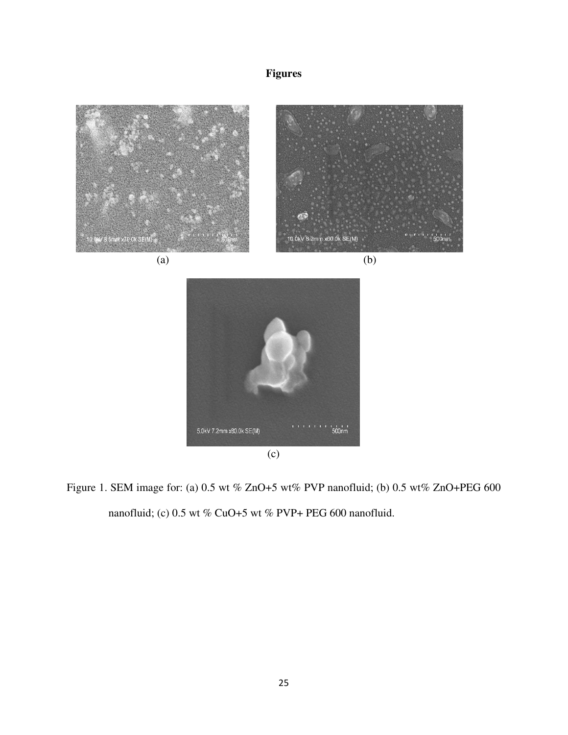## **Figures**



Figure 1. SEM image for: (a) 0.5 wt % ZnO+5 wt% PVP nanofluid; (b) 0.5 wt% ZnO+PEG 600 nanofluid; (c) 0.5 wt % CuO+5 wt % PVP+ PEG 600 nanofluid.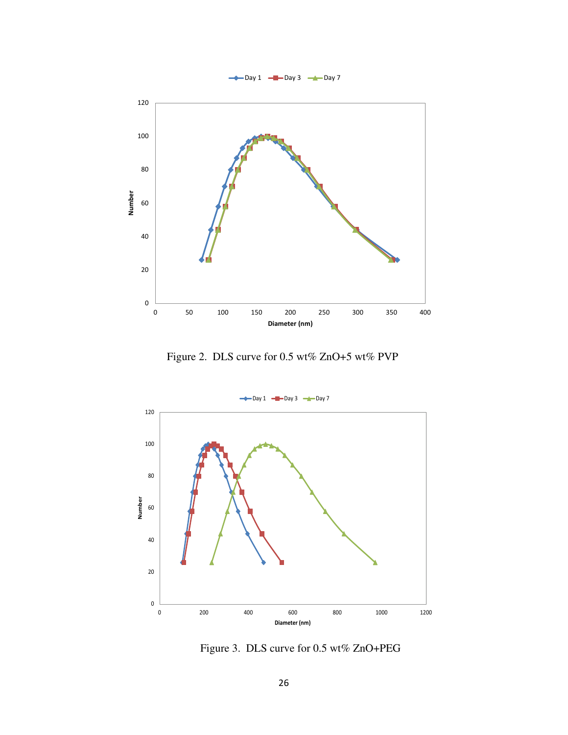

Figure 2. DLS curve for 0.5 wt% ZnO+5 wt% PVP



Figure 3. DLS curve for 0.5 wt% ZnO+PEG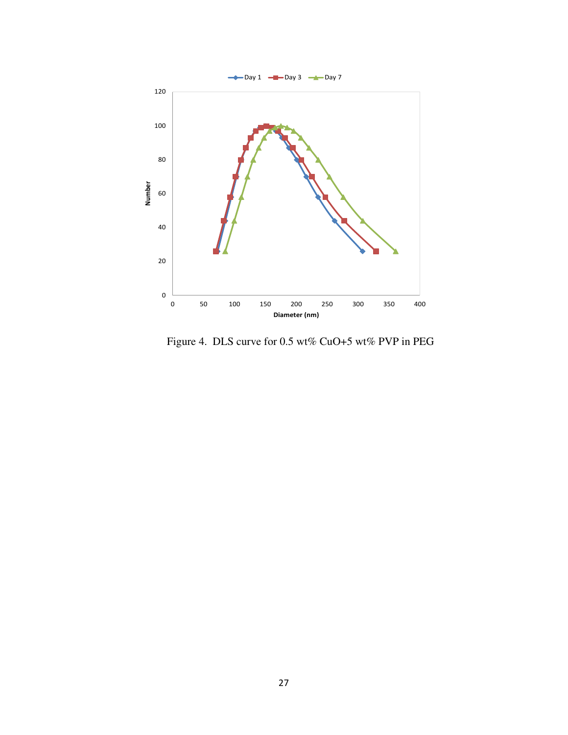

Figure 4. DLS curve for 0.5 wt% CuO+5 wt% PVP in PEG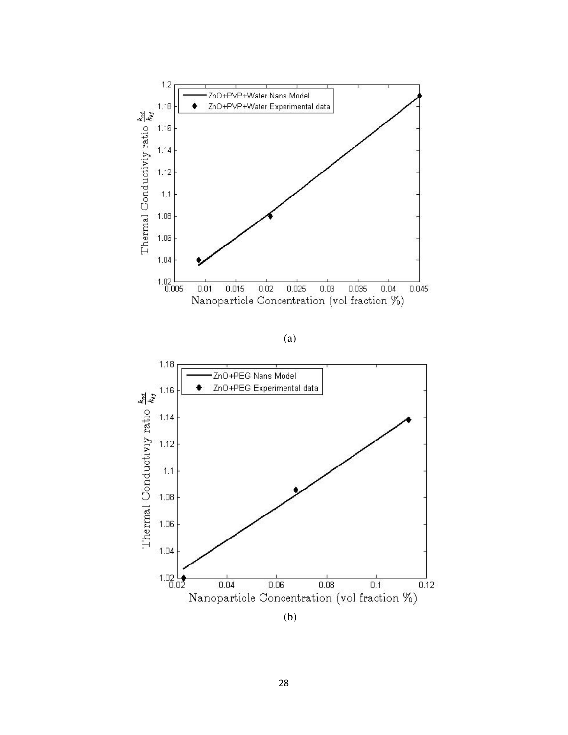

(a)

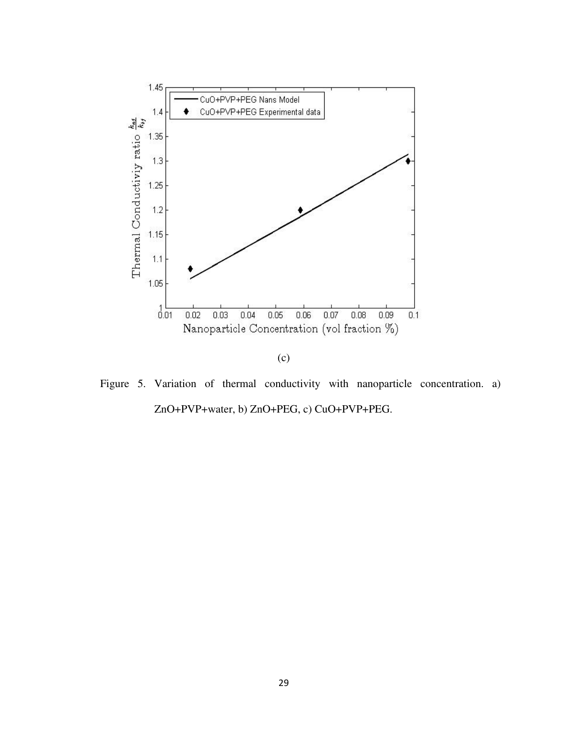

Figure 5. Variation of thermal conductivity with nanoparticle concentration. a) ZnO+PVP+water, b) ZnO+PEG, c) CuO+PVP+PEG.